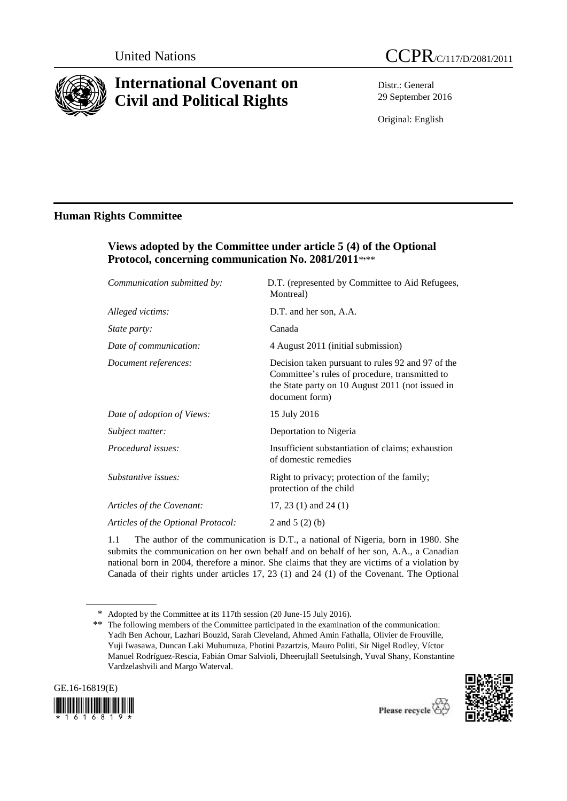

# **International Covenant on Civil and Political Rights**



Distr.: General 29 September 2016

Original: English

# **Human Rights Committee**

# **Views adopted by the Committee under article 5 (4) of the Optional Protocol, concerning communication No. 2081/2011**\* **,** \*\*

| D.T. (represented by Committee to Aid Refugees,<br>Montreal)                                                                                                              |
|---------------------------------------------------------------------------------------------------------------------------------------------------------------------------|
| D.T. and her son, A.A.                                                                                                                                                    |
| Canada                                                                                                                                                                    |
| 4 August 2011 (initial submission)                                                                                                                                        |
| Decision taken pursuant to rules 92 and 97 of the<br>Committee's rules of procedure, transmitted to<br>the State party on 10 August 2011 (not issued in<br>document form) |
| 15 July 2016                                                                                                                                                              |
| Deportation to Nigeria                                                                                                                                                    |
| Insufficient substantiation of claims; exhaustion<br>of domestic remedies                                                                                                 |
| Right to privacy; protection of the family;<br>protection of the child                                                                                                    |
| 17, 23 $(1)$ and 24 $(1)$                                                                                                                                                 |
| 2 and 5 $(2)$ (b)                                                                                                                                                         |
|                                                                                                                                                                           |

1.1 The author of the communication is D.T., a national of Nigeria, born in 1980. She submits the communication on her own behalf and on behalf of her son, A.A., a Canadian national born in 2004, therefore a minor. She claims that they are victims of a violation by Canada of their rights under articles 17, 23 (1) and 24 (1) of the Covenant. The Optional

<sup>\*\*</sup> The following members of the Committee participated in the examination of the communication: Yadh Ben Achour, Lazhari Bouzid, Sarah Cleveland, Ahmed Amin Fathalla, Olivier de Frouville, Yuji Iwasawa, Duncan Laki Muhumuza, Photini Pazartzis, Mauro Politi, Sir Nigel Rodley, Víctor Manuel Rodríguez-Rescia, Fabián Omar Salvioli, Dheerujlall Seetulsingh, Yuval Shany, Konstantine Vardzelashvili and Margo Waterval.







<sup>\*</sup> Adopted by the Committee at its 117th session (20 June-15 July 2016).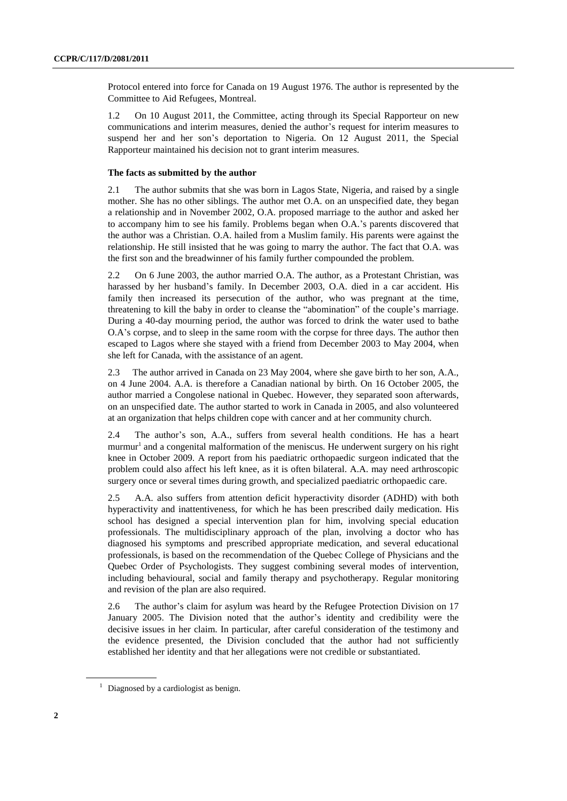Protocol entered into force for Canada on 19 August 1976. The author is represented by the Committee to Aid Refugees, Montreal.

1.2 On 10 August 2011, the Committee, acting through its Special Rapporteur on new communications and interim measures, denied the author's request for interim measures to suspend her and her son's deportation to Nigeria. On 12 August 2011, the Special Rapporteur maintained his decision not to grant interim measures.

# **The facts as submitted by the author**

2.1 The author submits that she was born in Lagos State, Nigeria, and raised by a single mother. She has no other siblings. The author met O.A. on an unspecified date, they began a relationship and in November 2002, O.A. proposed marriage to the author and asked her to accompany him to see his family. Problems began when O.A.'s parents discovered that the author was a Christian. O.A. hailed from a Muslim family. His parents were against the relationship. He still insisted that he was going to marry the author. The fact that O.A. was the first son and the breadwinner of his family further compounded the problem.

2.2 On 6 June 2003, the author married O.A. The author, as a Protestant Christian, was harassed by her husband's family. In December 2003, O.A. died in a car accident. His family then increased its persecution of the author, who was pregnant at the time, threatening to kill the baby in order to cleanse the "abomination" of the couple's marriage. During a 40-day mourning period, the author was forced to drink the water used to bathe O.A's corpse, and to sleep in the same room with the corpse for three days. The author then escaped to Lagos where she stayed with a friend from December 2003 to May 2004, when she left for Canada, with the assistance of an agent.

2.3 The author arrived in Canada on 23 May 2004, where she gave birth to her son, A.A., on 4 June 2004. A.A. is therefore a Canadian national by birth. On 16 October 2005, the author married a Congolese national in Quebec. However, they separated soon afterwards, on an unspecified date. The author started to work in Canada in 2005, and also volunteered at an organization that helps children cope with cancer and at her community church.

2.4 The author's son, A.A., suffers from several health conditions. He has a heart murmur<sup>1</sup> and a congenital malformation of the meniscus. He underwent surgery on his right knee in October 2009. A report from his paediatric orthopaedic surgeon indicated that the problem could also affect his left knee, as it is often bilateral. A.A. may need arthroscopic surgery once or several times during growth, and specialized paediatric orthopaedic care.

2.5 A.A. also suffers from attention deficit hyperactivity disorder (ADHD) with both hyperactivity and inattentiveness, for which he has been prescribed daily medication. His school has designed a special intervention plan for him, involving special education professionals. The multidisciplinary approach of the plan, involving a doctor who has diagnosed his symptoms and prescribed appropriate medication, and several educational professionals, is based on the recommendation of the Quebec College of Physicians and the Quebec Order of Psychologists. They suggest combining several modes of intervention, including behavioural, social and family therapy and psychotherapy. Regular monitoring and revision of the plan are also required.

2.6 The author's claim for asylum was heard by the Refugee Protection Division on 17 January 2005. The Division noted that the author's identity and credibility were the decisive issues in her claim. In particular, after careful consideration of the testimony and the evidence presented, the Division concluded that the author had not sufficiently established her identity and that her allegations were not credible or substantiated.

 $1$  Diagnosed by a cardiologist as benign.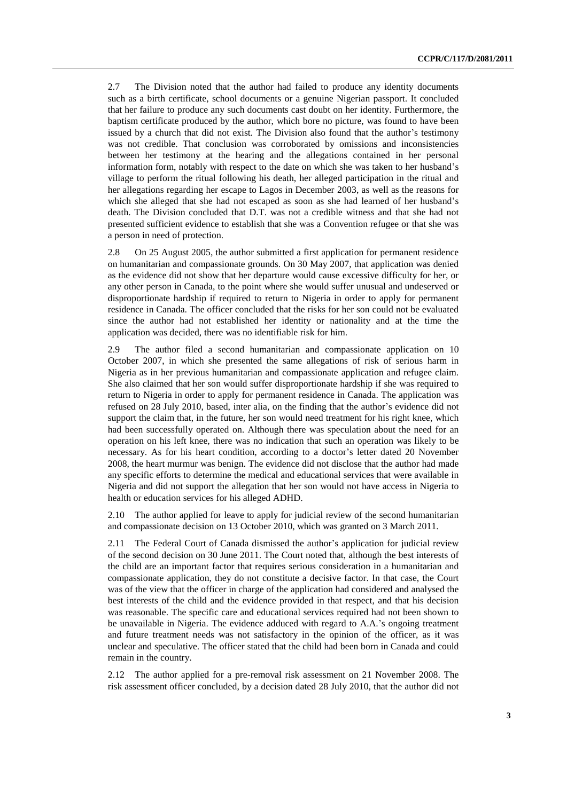2.7 The Division noted that the author had failed to produce any identity documents such as a birth certificate, school documents or a genuine Nigerian passport. It concluded that her failure to produce any such documents cast doubt on her identity. Furthermore, the baptism certificate produced by the author, which bore no picture, was found to have been issued by a church that did not exist. The Division also found that the author's testimony was not credible. That conclusion was corroborated by omissions and inconsistencies between her testimony at the hearing and the allegations contained in her personal information form, notably with respect to the date on which she was taken to her husband's village to perform the ritual following his death, her alleged participation in the ritual and her allegations regarding her escape to Lagos in December 2003, as well as the reasons for which she alleged that she had not escaped as soon as she had learned of her husband's death. The Division concluded that D.T. was not a credible witness and that she had not presented sufficient evidence to establish that she was a Convention refugee or that she was a person in need of protection.

2.8 On 25 August 2005, the author submitted a first application for permanent residence on humanitarian and compassionate grounds. On 30 May 2007, that application was denied as the evidence did not show that her departure would cause excessive difficulty for her, or any other person in Canada, to the point where she would suffer unusual and undeserved or disproportionate hardship if required to return to Nigeria in order to apply for permanent residence in Canada. The officer concluded that the risks for her son could not be evaluated since the author had not established her identity or nationality and at the time the application was decided, there was no identifiable risk for him.

2.9 The author filed a second humanitarian and compassionate application on 10 October 2007, in which she presented the same allegations of risk of serious harm in Nigeria as in her previous humanitarian and compassionate application and refugee claim. She also claimed that her son would suffer disproportionate hardship if she was required to return to Nigeria in order to apply for permanent residence in Canada. The application was refused on 28 July 2010, based, inter alia, on the finding that the author's evidence did not support the claim that, in the future, her son would need treatment for his right knee, which had been successfully operated on. Although there was speculation about the need for an operation on his left knee, there was no indication that such an operation was likely to be necessary. As for his heart condition, according to a doctor's letter dated 20 November 2008, the heart murmur was benign. The evidence did not disclose that the author had made any specific efforts to determine the medical and educational services that were available in Nigeria and did not support the allegation that her son would not have access in Nigeria to health or education services for his alleged ADHD.

2.10 The author applied for leave to apply for judicial review of the second humanitarian and compassionate decision on 13 October 2010, which was granted on 3 March 2011.

2.11 The Federal Court of Canada dismissed the author's application for judicial review of the second decision on 30 June 2011. The Court noted that, although the best interests of the child are an important factor that requires serious consideration in a humanitarian and compassionate application, they do not constitute a decisive factor. In that case, the Court was of the view that the officer in charge of the application had considered and analysed the best interests of the child and the evidence provided in that respect, and that his decision was reasonable. The specific care and educational services required had not been shown to be unavailable in Nigeria. The evidence adduced with regard to A.A.'s ongoing treatment and future treatment needs was not satisfactory in the opinion of the officer, as it was unclear and speculative. The officer stated that the child had been born in Canada and could remain in the country.

2.12 The author applied for a pre-removal risk assessment on 21 November 2008. The risk assessment officer concluded, by a decision dated 28 July 2010, that the author did not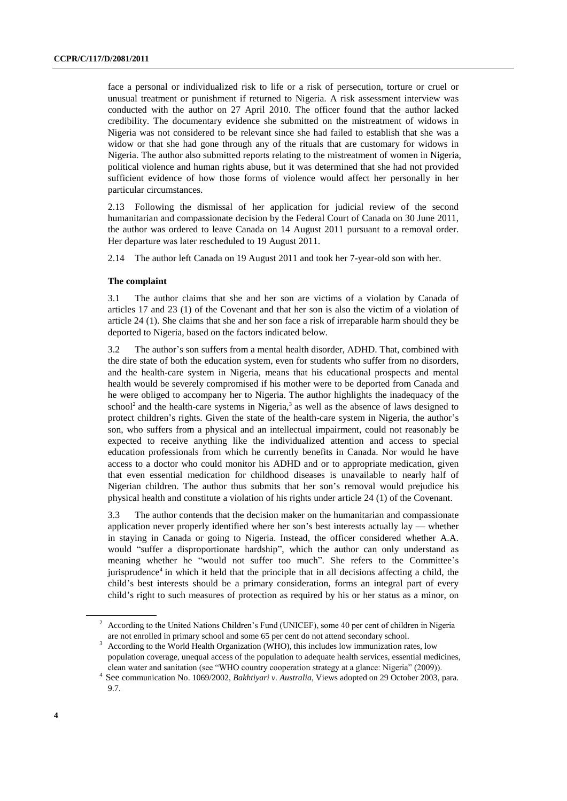face a personal or individualized risk to life or a risk of persecution, torture or cruel or unusual treatment or punishment if returned to Nigeria. A risk assessment interview was conducted with the author on 27 April 2010. The officer found that the author lacked credibility. The documentary evidence she submitted on the mistreatment of widows in Nigeria was not considered to be relevant since she had failed to establish that she was a widow or that she had gone through any of the rituals that are customary for widows in Nigeria. The author also submitted reports relating to the mistreatment of women in Nigeria, political violence and human rights abuse, but it was determined that she had not provided sufficient evidence of how those forms of violence would affect her personally in her particular circumstances.

2.13 Following the dismissal of her application for judicial review of the second humanitarian and compassionate decision by the Federal Court of Canada on 30 June 2011, the author was ordered to leave Canada on 14 August 2011 pursuant to a removal order. Her departure was later rescheduled to 19 August 2011.

2.14 The author left Canada on 19 August 2011 and took her 7-year-old son with her.

#### **The complaint**

3.1 The author claims that she and her son are victims of a violation by Canada of articles 17 and 23 (1) of the Covenant and that her son is also the victim of a violation of article 24 (1). She claims that she and her son face a risk of irreparable harm should they be deported to Nigeria, based on the factors indicated below.

3.2 The author's son suffers from a mental health disorder, ADHD. That, combined with the dire state of both the education system, even for students who suffer from no disorders, and the health-care system in Nigeria, means that his educational prospects and mental health would be severely compromised if his mother were to be deported from Canada and he were obliged to accompany her to Nigeria. The author highlights the inadequacy of the  $\rm school^2$  and the health-care systems in Nigeria,<sup>3</sup> as well as the absence of laws designed to protect children's rights. Given the state of the health-care system in Nigeria, the author's son, who suffers from a physical and an intellectual impairment, could not reasonably be expected to receive anything like the individualized attention and access to special education professionals from which he currently benefits in Canada. Nor would he have access to a doctor who could monitor his ADHD and or to appropriate medication, given that even essential medication for childhood diseases is unavailable to nearly half of Nigerian children. The author thus submits that her son's removal would prejudice his physical health and constitute a violation of his rights under article 24 (1) of the Covenant.

3.3 The author contends that the decision maker on the humanitarian and compassionate application never properly identified where her son's best interests actually lay — whether in staying in Canada or going to Nigeria. Instead, the officer considered whether A.A. would "suffer a disproportionate hardship", which the author can only understand as meaning whether he "would not suffer too much". She refers to the Committee's jurisprudence<sup>4</sup> in which it held that the principle that in all decisions affecting a child, the child's best interests should be a primary consideration, forms an integral part of every child's right to such measures of protection as required by his or her status as a minor, on

<sup>2</sup> According to the United Nations Children's Fund (UNICEF), some 40 per cent of children in Nigeria are not enrolled in primary school and some 65 per cent do not attend secondary school.

<sup>&</sup>lt;sup>3</sup> According to the World Health Organization (WHO), this includes low immunization rates, low population coverage, unequal access of the population to adequate health services, essential medicines, clean water and sanitation (see "WHO country cooperation strategy at a glance: Nigeria" (2009)).

<sup>4</sup> See communication No. 1069/2002, *Bakhtiyari v. Australia*, Views adopted on 29 October 2003, para. 9.7.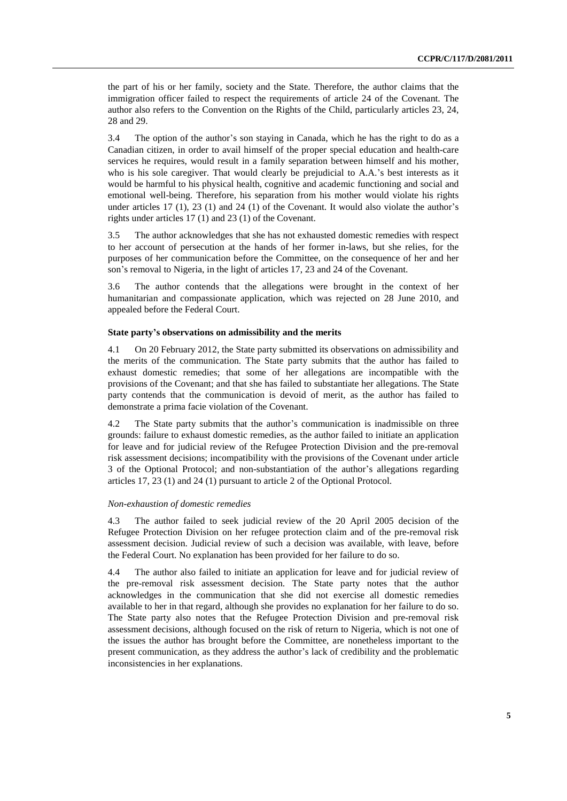the part of his or her family, society and the State. Therefore, the author claims that the immigration officer failed to respect the requirements of article 24 of the Covenant. The author also refers to the Convention on the Rights of the Child, particularly articles 23, 24, 28 and 29.

3.4 The option of the author's son staying in Canada, which he has the right to do as a Canadian citizen, in order to avail himself of the proper special education and health-care services he requires, would result in a family separation between himself and his mother, who is his sole caregiver. That would clearly be prejudicial to A.A.'s best interests as it would be harmful to his physical health, cognitive and academic functioning and social and emotional well-being. Therefore, his separation from his mother would violate his rights under articles 17 (1), 23 (1) and 24 (1) of the Covenant. It would also violate the author's rights under articles 17 (1) and 23 (1) of the Covenant.

3.5 The author acknowledges that she has not exhausted domestic remedies with respect to her account of persecution at the hands of her former in-laws, but she relies, for the purposes of her communication before the Committee, on the consequence of her and her son's removal to Nigeria, in the light of articles 17, 23 and 24 of the Covenant.

3.6 The author contends that the allegations were brought in the context of her humanitarian and compassionate application, which was rejected on 28 June 2010, and appealed before the Federal Court.

# **State party's observations on admissibility and the merits**

4.1 On 20 February 2012, the State party submitted its observations on admissibility and the merits of the communication. The State party submits that the author has failed to exhaust domestic remedies; that some of her allegations are incompatible with the provisions of the Covenant; and that she has failed to substantiate her allegations. The State party contends that the communication is devoid of merit, as the author has failed to demonstrate a prima facie violation of the Covenant.

4.2 The State party submits that the author's communication is inadmissible on three grounds: failure to exhaust domestic remedies, as the author failed to initiate an application for leave and for judicial review of the Refugee Protection Division and the pre-removal risk assessment decisions; incompatibility with the provisions of the Covenant under article 3 of the Optional Protocol; and non-substantiation of the author's allegations regarding articles 17, 23 (1) and 24 (1) pursuant to article 2 of the Optional Protocol.

#### *Non-exhaustion of domestic remedies*

4.3 The author failed to seek judicial review of the 20 April 2005 decision of the Refugee Protection Division on her refugee protection claim and of the pre-removal risk assessment decision. Judicial review of such a decision was available, with leave, before the Federal Court. No explanation has been provided for her failure to do so.

4.4 The author also failed to initiate an application for leave and for judicial review of the pre-removal risk assessment decision. The State party notes that the author acknowledges in the communication that she did not exercise all domestic remedies available to her in that regard, although she provides no explanation for her failure to do so. The State party also notes that the Refugee Protection Division and pre-removal risk assessment decisions, although focused on the risk of return to Nigeria, which is not one of the issues the author has brought before the Committee, are nonetheless important to the present communication, as they address the author's lack of credibility and the problematic inconsistencies in her explanations.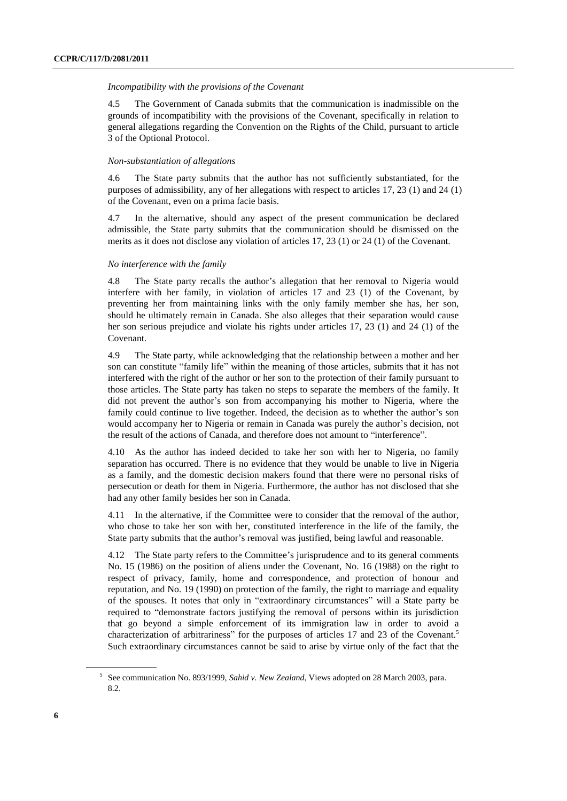#### *Incompatibility with the provisions of the Covenant*

4.5 The Government of Canada submits that the communication is inadmissible on the grounds of incompatibility with the provisions of the Covenant, specifically in relation to general allegations regarding the Convention on the Rights of the Child, pursuant to article 3 of the Optional Protocol.

# *Non-substantiation of allegations*

4.6 The State party submits that the author has not sufficiently substantiated, for the purposes of admissibility, any of her allegations with respect to articles 17, 23 (1) and 24 (1) of the Covenant, even on a prima facie basis.

4.7 In the alternative, should any aspect of the present communication be declared admissible, the State party submits that the communication should be dismissed on the merits as it does not disclose any violation of articles 17, 23 (1) or 24 (1) of the Covenant.

### *No interference with the family*

4.8 The State party recalls the author's allegation that her removal to Nigeria would interfere with her family, in violation of articles 17 and 23 (1) of the Covenant, by preventing her from maintaining links with the only family member she has, her son, should he ultimately remain in Canada. She also alleges that their separation would cause her son serious prejudice and violate his rights under articles 17, 23 (1) and 24 (1) of the Covenant.

4.9 The State party, while acknowledging that the relationship between a mother and her son can constitute "family life" within the meaning of those articles, submits that it has not interfered with the right of the author or her son to the protection of their family pursuant to those articles. The State party has taken no steps to separate the members of the family. It did not prevent the author's son from accompanying his mother to Nigeria, where the family could continue to live together. Indeed, the decision as to whether the author's son would accompany her to Nigeria or remain in Canada was purely the author's decision, not the result of the actions of Canada, and therefore does not amount to "interference".

4.10 As the author has indeed decided to take her son with her to Nigeria, no family separation has occurred. There is no evidence that they would be unable to live in Nigeria as a family, and the domestic decision makers found that there were no personal risks of persecution or death for them in Nigeria. Furthermore, the author has not disclosed that she had any other family besides her son in Canada.

4.11 In the alternative, if the Committee were to consider that the removal of the author, who chose to take her son with her, constituted interference in the life of the family, the State party submits that the author's removal was justified, being lawful and reasonable.

4.12 The State party refers to the Committee's jurisprudence and to its general comments No. 15 (1986) on the position of aliens under the Covenant, No. 16 (1988) on the right to respect of privacy, family, home and correspondence, and protection of honour and reputation, and No. 19 (1990) on protection of the family, the right to marriage and equality of the spouses. It notes that only in "extraordinary circumstances" will a State party be required to "demonstrate factors justifying the removal of persons within its jurisdiction that go beyond a simple enforcement of its immigration law in order to avoid a characterization of arbitrariness" for the purposes of articles 17 and 23 of the Covenant.<sup>5</sup> Such extraordinary circumstances cannot be said to arise by virtue only of the fact that the

<sup>5</sup> See communication No. 893/1999, *Sahid v. New Zealand*, Views adopted on 28 March 2003, para. 8.2.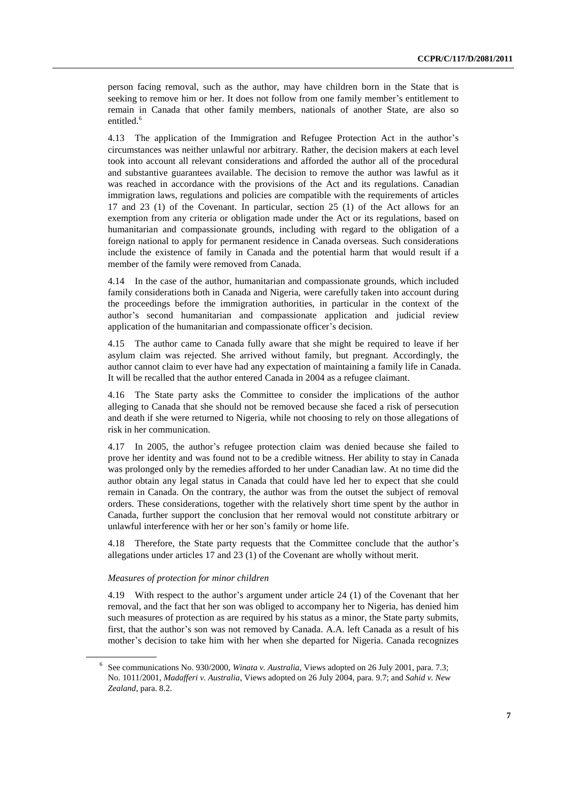person facing removal, such as the author, may have children born in the State that is seeking to remove him or her. It does not follow from one family member's entitlement to remain in Canada that other family members, nationals of another State, are also so entitled.<sup>6</sup>

4.13 The application of the Immigration and Refugee Protection Act in the author's circumstances was neither unlawful nor arbitrary. Rather, the decision makers at each level took into account all relevant considerations and afforded the author all of the procedural and substantive guarantees available. The decision to remove the author was lawful as it was reached in accordance with the provisions of the Act and its regulations. Canadian immigration laws, regulations and policies are compatible with the requirements of articles 17 and 23 (1) of the Covenant. In particular, section 25 (1) of the Act allows for an exemption from any criteria or obligation made under the Act or its regulations, based on humanitarian and compassionate grounds, including with regard to the obligation of a foreign national to apply for permanent residence in Canada overseas. Such considerations include the existence of family in Canada and the potential harm that would result if a member of the family were removed from Canada.

4.14 In the case of the author, humanitarian and compassionate grounds, which included family considerations both in Canada and Nigeria, were carefully taken into account during the proceedings before the immigration authorities, in particular in the context of the author's second humanitarian and compassionate application and judicial review application of the humanitarian and compassionate officer's decision.

4.15 The author came to Canada fully aware that she might be required to leave if her asylum claim was rejected. She arrived without family, but pregnant. Accordingly, the author cannot claim to ever have had any expectation of maintaining a family life in Canada. It will be recalled that the author entered Canada in 2004 as a refugee claimant.

The State party asks the Committee to consider the implications of the author alleging to Canada that she should not be removed because she faced a risk of persecution and death if she were returned to Nigeria, while not choosing to rely on those allegations of risk in her communication.

4.17 In 2005, the author's refugee protection claim was denied because she failed to prove her identity and was found not to be a credible witness. Her ability to stay in Canada was prolonged only by the remedies afforded to her under Canadian law. At no time did the author obtain any legal status in Canada that could have led her to expect that she could remain in Canada. On the contrary, the author was from the outset the subject of removal orders. These considerations, together with the relatively short time spent by the author in Canada, further support the conclusion that her removal would not constitute arbitrary or unlawful interference with her or her son's family or home life.

4.18 Therefore, the State party requests that the Committee conclude that the author's allegations under articles 17 and 23 (1) of the Covenant are wholly without merit.

# *Measures of protection for minor children*

4.19 With respect to the author's argument under article 24 (1) of the Covenant that her removal, and the fact that her son was obliged to accompany her to Nigeria, has denied him such measures of protection as are required by his status as a minor, the State party submits, first, that the author's son was not removed by Canada. A.A. left Canada as a result of his mother's decision to take him with her when she departed for Nigeria. Canada recognizes

<sup>6</sup> See communications No. 930/2000, *Winata v. Australia*, Views adopted on 26 July 2001, para. 7.3; No. 1011/2001, *Madafferi v. Australia*, Views adopted on 26 July 2004, para. 9.7; and *Sahid v. New Zealand*, para. 8.2.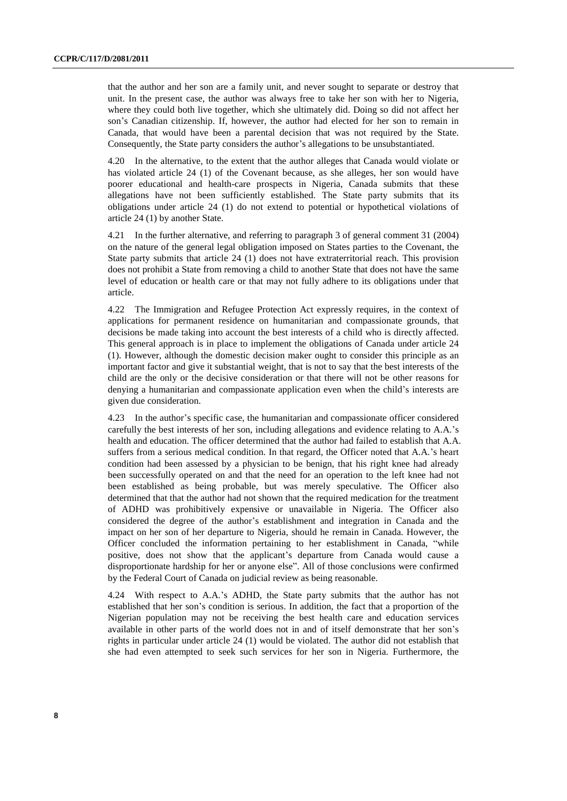that the author and her son are a family unit, and never sought to separate or destroy that unit. In the present case, the author was always free to take her son with her to Nigeria, where they could both live together, which she ultimately did. Doing so did not affect her son's Canadian citizenship. If, however, the author had elected for her son to remain in Canada, that would have been a parental decision that was not required by the State. Consequently, the State party considers the author's allegations to be unsubstantiated.

4.20 In the alternative, to the extent that the author alleges that Canada would violate or has violated article 24 (1) of the Covenant because, as she alleges, her son would have poorer educational and health-care prospects in Nigeria, Canada submits that these allegations have not been sufficiently established. The State party submits that its obligations under article 24 (1) do not extend to potential or hypothetical violations of article 24 (1) by another State.

4.21 In the further alternative, and referring to paragraph 3 of general comment 31 (2004) on the nature of the general legal obligation imposed on States parties to the Covenant, the State party submits that article 24 (1) does not have extraterritorial reach. This provision does not prohibit a State from removing a child to another State that does not have the same level of education or health care or that may not fully adhere to its obligations under that article.

4.22 The Immigration and Refugee Protection Act expressly requires, in the context of applications for permanent residence on humanitarian and compassionate grounds, that decisions be made taking into account the best interests of a child who is directly affected. This general approach is in place to implement the obligations of Canada under article 24 (1). However, although the domestic decision maker ought to consider this principle as an important factor and give it substantial weight, that is not to say that the best interests of the child are the only or the decisive consideration or that there will not be other reasons for denying a humanitarian and compassionate application even when the child's interests are given due consideration.

4.23 In the author's specific case, the humanitarian and compassionate officer considered carefully the best interests of her son, including allegations and evidence relating to A.A.'s health and education. The officer determined that the author had failed to establish that A.A. suffers from a serious medical condition. In that regard, the Officer noted that A.A.'s heart condition had been assessed by a physician to be benign, that his right knee had already been successfully operated on and that the need for an operation to the left knee had not been established as being probable, but was merely speculative. The Officer also determined that that the author had not shown that the required medication for the treatment of ADHD was prohibitively expensive or unavailable in Nigeria. The Officer also considered the degree of the author's establishment and integration in Canada and the impact on her son of her departure to Nigeria, should he remain in Canada. However, the Officer concluded the information pertaining to her establishment in Canada, "while positive, does not show that the applicant's departure from Canada would cause a disproportionate hardship for her or anyone else". All of those conclusions were confirmed by the Federal Court of Canada on judicial review as being reasonable.

4.24 With respect to A.A.'s ADHD, the State party submits that the author has not established that her son's condition is serious. In addition, the fact that a proportion of the Nigerian population may not be receiving the best health care and education services available in other parts of the world does not in and of itself demonstrate that her son's rights in particular under article 24 (1) would be violated. The author did not establish that she had even attempted to seek such services for her son in Nigeria. Furthermore, the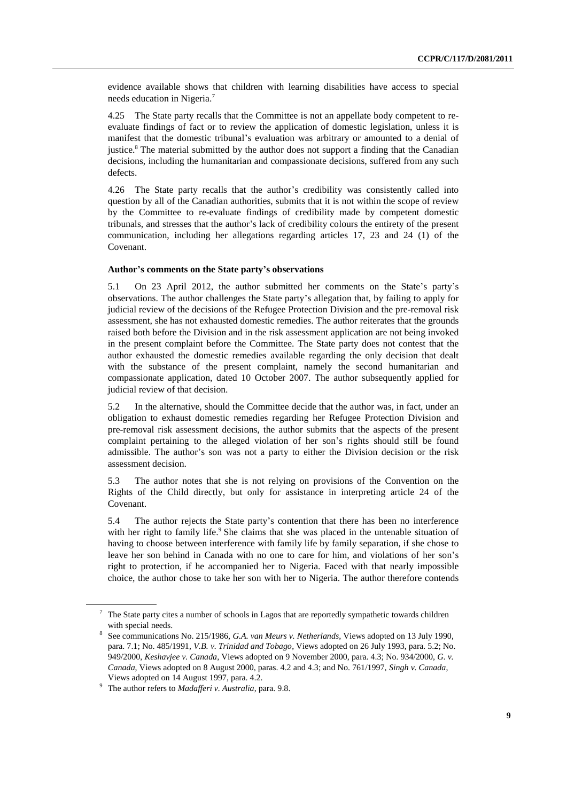evidence available shows that children with learning disabilities have access to special needs education in Nigeria.<sup>7</sup>

4.25 The State party recalls that the Committee is not an appellate body competent to reevaluate findings of fact or to review the application of domestic legislation, unless it is manifest that the domestic tribunal's evaluation was arbitrary or amounted to a denial of justice.<sup>8</sup> The material submitted by the author does not support a finding that the Canadian decisions, including the humanitarian and compassionate decisions, suffered from any such defects.

4.26 The State party recalls that the author's credibility was consistently called into question by all of the Canadian authorities, submits that it is not within the scope of review by the Committee to re-evaluate findings of credibility made by competent domestic tribunals, and stresses that the author's lack of credibility colours the entirety of the present communication, including her allegations regarding articles 17, 23 and 24 (1) of the Covenant.

## **Author's comments on the State party's observations**

5.1 On 23 April 2012, the author submitted her comments on the State's party's observations. The author challenges the State party's allegation that, by failing to apply for judicial review of the decisions of the Refugee Protection Division and the pre-removal risk assessment, she has not exhausted domestic remedies. The author reiterates that the grounds raised both before the Division and in the risk assessment application are not being invoked in the present complaint before the Committee. The State party does not contest that the author exhausted the domestic remedies available regarding the only decision that dealt with the substance of the present complaint, namely the second humanitarian and compassionate application, dated 10 October 2007. The author subsequently applied for judicial review of that decision.

5.2 In the alternative, should the Committee decide that the author was, in fact, under an obligation to exhaust domestic remedies regarding her Refugee Protection Division and pre-removal risk assessment decisions, the author submits that the aspects of the present complaint pertaining to the alleged violation of her son's rights should still be found admissible. The author's son was not a party to either the Division decision or the risk assessment decision.

5.3 The author notes that she is not relying on provisions of the Convention on the Rights of the Child directly, but only for assistance in interpreting article 24 of the Covenant.

5.4 The author rejects the State party's contention that there has been no interference with her right to family life.<sup>9</sup> She claims that she was placed in the untenable situation of having to choose between interference with family life by family separation, if she chose to leave her son behind in Canada with no one to care for him, and violations of her son's right to protection, if he accompanied her to Nigeria. Faced with that nearly impossible choice, the author chose to take her son with her to Nigeria. The author therefore contends

 $7$  The State party cites a number of schools in Lagos that are reportedly sympathetic towards children with special needs.

<sup>8</sup> See communications No. 215/1986, *G.A. van Meurs v. Netherlands*, Views adopted on 13 July 1990, para. 7.1; No. 485/1991, *V.B. v. Trinidad and Tobago*, Views adopted on 26 July 1993, para. 5.2; No. 949/2000, *Keshavjee v. Canada*, Views adopted on 9 November 2000, para. 4.3; No. 934/2000, *G. v. Canada*, Views adopted on 8 August 2000, paras. 4.2 and 4.3; and No. 761/1997, *Singh v. Canada*, Views adopted on 14 August 1997, para. 4.2.

<sup>9</sup> The author refers to *Madafferi v. Australia*, para. 9.8.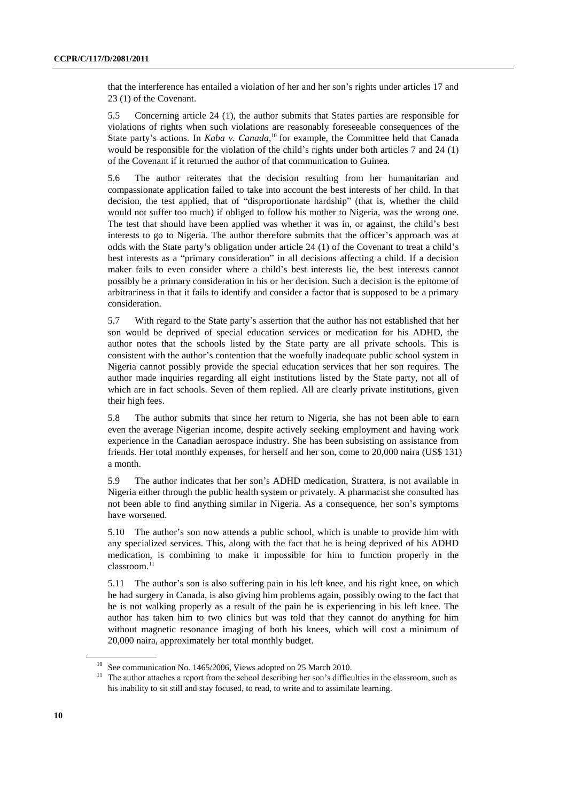that the interference has entailed a violation of her and her son's rights under articles 17 and 23 (1) of the Covenant.

5.5 Concerning article 24 (1), the author submits that States parties are responsible for violations of rights when such violations are reasonably foreseeable consequences of the State party's actions. In *Kaba v. Canada*,<sup>10</sup> for example, the Committee held that Canada would be responsible for the violation of the child's rights under both articles 7 and 24 (1) of the Covenant if it returned the author of that communication to Guinea.

5.6 The author reiterates that the decision resulting from her humanitarian and compassionate application failed to take into account the best interests of her child. In that decision, the test applied, that of "disproportionate hardship" (that is, whether the child would not suffer too much) if obliged to follow his mother to Nigeria, was the wrong one. The test that should have been applied was whether it was in, or against, the child's best interests to go to Nigeria. The author therefore submits that the officer's approach was at odds with the State party's obligation under article 24 (1) of the Covenant to treat a child's best interests as a "primary consideration" in all decisions affecting a child. If a decision maker fails to even consider where a child's best interests lie, the best interests cannot possibly be a primary consideration in his or her decision. Such a decision is the epitome of arbitrariness in that it fails to identify and consider a factor that is supposed to be a primary consideration.

5.7 With regard to the State party's assertion that the author has not established that her son would be deprived of special education services or medication for his ADHD, the author notes that the schools listed by the State party are all private schools. This is consistent with the author's contention that the woefully inadequate public school system in Nigeria cannot possibly provide the special education services that her son requires. The author made inquiries regarding all eight institutions listed by the State party, not all of which are in fact schools. Seven of them replied. All are clearly private institutions, given their high fees.

5.8 The author submits that since her return to Nigeria, she has not been able to earn even the average Nigerian income, despite actively seeking employment and having work experience in the Canadian aerospace industry. She has been subsisting on assistance from friends. Her total monthly expenses, for herself and her son, come to 20,000 naira (US\$ 131) a month.

5.9 The author indicates that her son's ADHD medication, Strattera, is not available in Nigeria either through the public health system or privately. A pharmacist she consulted has not been able to find anything similar in Nigeria. As a consequence, her son's symptoms have worsened.

5.10 The author's son now attends a public school, which is unable to provide him with any specialized services. This, along with the fact that he is being deprived of his ADHD medication, is combining to make it impossible for him to function properly in the classroom.<sup>11</sup>

5.11 The author's son is also suffering pain in his left knee, and his right knee, on which he had surgery in Canada, is also giving him problems again, possibly owing to the fact that he is not walking properly as a result of the pain he is experiencing in his left knee. The author has taken him to two clinics but was told that they cannot do anything for him without magnetic resonance imaging of both his knees, which will cost a minimum of 20,000 naira, approximately her total monthly budget.

See communication No. 1465/2006, Views adopted on 25 March 2010.

<sup>&</sup>lt;sup>11</sup> The author attaches a report from the school describing her son's difficulties in the classroom, such as his inability to sit still and stay focused, to read, to write and to assimilate learning.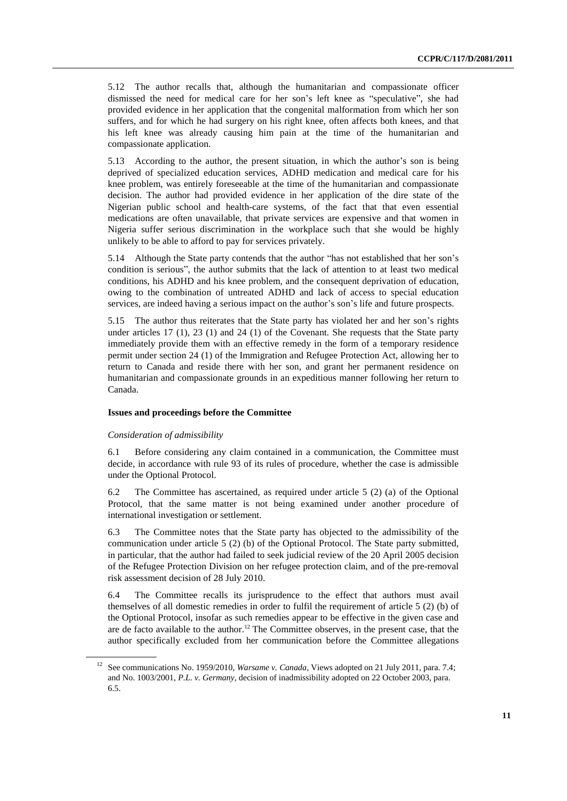5.12 The author recalls that, although the humanitarian and compassionate officer dismissed the need for medical care for her son's left knee as "speculative", she had provided evidence in her application that the congenital malformation from which her son suffers, and for which he had surgery on his right knee, often affects both knees, and that his left knee was already causing him pain at the time of the humanitarian and compassionate application.

5.13 According to the author, the present situation, in which the author's son is being deprived of specialized education services, ADHD medication and medical care for his knee problem, was entirely foreseeable at the time of the humanitarian and compassionate decision. The author had provided evidence in her application of the dire state of the Nigerian public school and health-care systems, of the fact that that even essential medications are often unavailable, that private services are expensive and that women in Nigeria suffer serious discrimination in the workplace such that she would be highly unlikely to be able to afford to pay for services privately.

5.14 Although the State party contends that the author "has not established that her son's condition is serious", the author submits that the lack of attention to at least two medical conditions, his ADHD and his knee problem, and the consequent deprivation of education, owing to the combination of untreated ADHD and lack of access to special education services, are indeed having a serious impact on the author's son's life and future prospects.

5.15 The author thus reiterates that the State party has violated her and her son's rights under articles 17 (1), 23 (1) and 24 (1) of the Covenant. She requests that the State party immediately provide them with an effective remedy in the form of a temporary residence permit under section 24 (1) of the Immigration and Refugee Protection Act, allowing her to return to Canada and reside there with her son, and grant her permanent residence on humanitarian and compassionate grounds in an expeditious manner following her return to Canada.

# **Issues and proceedings before the Committee**

#### *Consideration of admissibility*

6.1 Before considering any claim contained in a communication, the Committee must decide, in accordance with rule 93 of its rules of procedure, whether the case is admissible under the Optional Protocol.

6.2 The Committee has ascertained, as required under article 5 (2) (a) of the Optional Protocol, that the same matter is not being examined under another procedure of international investigation or settlement.

6.3 The Committee notes that the State party has objected to the admissibility of the communication under article 5 (2) (b) of the Optional Protocol. The State party submitted, in particular, that the author had failed to seek judicial review of the 20 April 2005 decision of the Refugee Protection Division on her refugee protection claim, and of the pre-removal risk assessment decision of 28 July 2010.

6.4 The Committee recalls its jurisprudence to the effect that authors must avail themselves of all domestic remedies in order to fulfil the requirement of article 5 (2) (b) of the Optional Protocol, insofar as such remedies appear to be effective in the given case and are de facto available to the author.<sup>12</sup> The Committee observes, in the present case, that the author specifically excluded from her communication before the Committee allegations

<sup>12</sup> See communications No. 1959/2010, *Warsame v. Canada*, Views adopted on 21 July 2011, para. 7.4; and No. 1003/2001, *P.L. v. Germany*, decision of inadmissibility adopted on 22 October 2003, para. 6.5.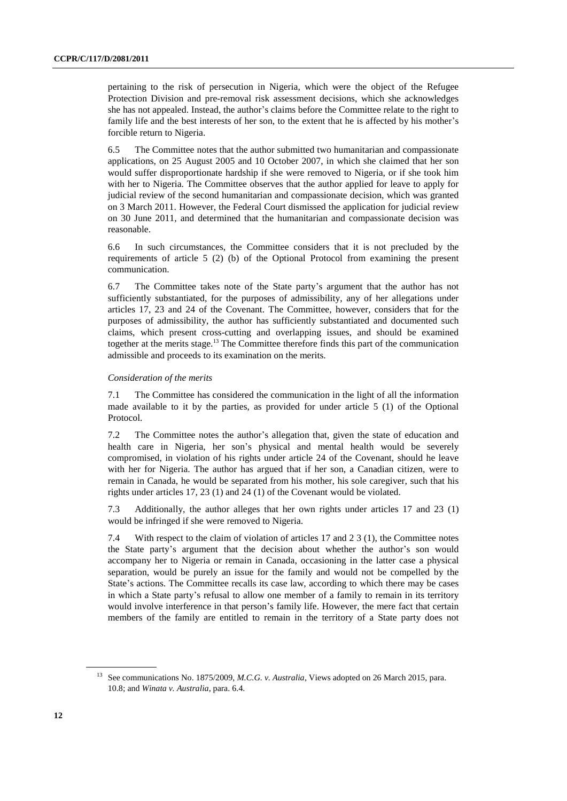pertaining to the risk of persecution in Nigeria, which were the object of the Refugee Protection Division and pre-removal risk assessment decisions, which she acknowledges she has not appealed. Instead, the author's claims before the Committee relate to the right to family life and the best interests of her son, to the extent that he is affected by his mother's forcible return to Nigeria.

6.5 The Committee notes that the author submitted two humanitarian and compassionate applications, on 25 August 2005 and 10 October 2007, in which she claimed that her son would suffer disproportionate hardship if she were removed to Nigeria, or if she took him with her to Nigeria. The Committee observes that the author applied for leave to apply for judicial review of the second humanitarian and compassionate decision, which was granted on 3 March 2011. However, the Federal Court dismissed the application for judicial review on 30 June 2011, and determined that the humanitarian and compassionate decision was reasonable.

6.6 In such circumstances, the Committee considers that it is not precluded by the requirements of article 5 (2) (b) of the Optional Protocol from examining the present communication.

6.7 The Committee takes note of the State party's argument that the author has not sufficiently substantiated, for the purposes of admissibility, any of her allegations under articles 17, 23 and 24 of the Covenant. The Committee, however, considers that for the purposes of admissibility, the author has sufficiently substantiated and documented such claims, which present cross-cutting and overlapping issues, and should be examined together at the merits stage.<sup>13</sup> The Committee therefore finds this part of the communication admissible and proceeds to its examination on the merits.

#### *Consideration of the merits*

7.1 The Committee has considered the communication in the light of all the information made available to it by the parties, as provided for under article 5 (1) of the Optional Protocol.

7.2 The Committee notes the author's allegation that, given the state of education and health care in Nigeria, her son's physical and mental health would be severely compromised, in violation of his rights under article 24 of the Covenant, should he leave with her for Nigeria. The author has argued that if her son, a Canadian citizen, were to remain in Canada, he would be separated from his mother, his sole caregiver, such that his rights under articles 17, 23 (1) and 24 (1) of the Covenant would be violated.

7.3 Additionally, the author alleges that her own rights under articles 17 and 23 (1) would be infringed if she were removed to Nigeria.

7.4 With respect to the claim of violation of articles 17 and 2 3 (1), the Committee notes the State party's argument that the decision about whether the author's son would accompany her to Nigeria or remain in Canada, occasioning in the latter case a physical separation, would be purely an issue for the family and would not be compelled by the State's actions. The Committee recalls its case law, according to which there may be cases in which a State party's refusal to allow one member of a family to remain in its territory would involve interference in that person's family life. However, the mere fact that certain members of the family are entitled to remain in the territory of a State party does not

<sup>&</sup>lt;sup>13</sup> See communications No. 1875/2009, *M.C.G. v. Australia*, Views adopted on 26 March 2015, para. 10.8; and *Winata v. Australia*, para. 6.4.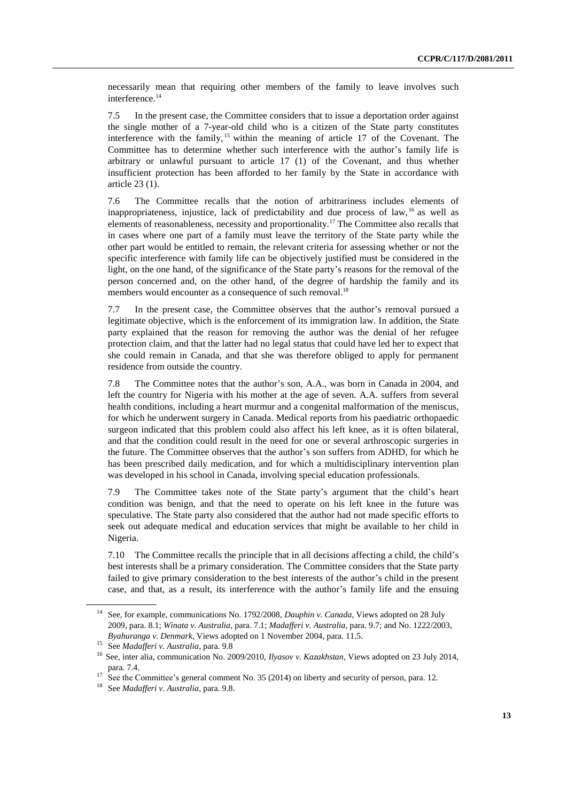necessarily mean that requiring other members of the family to leave involves such interference.<sup>14</sup>

7.5 In the present case, the Committee considers that to issue a deportation order against the single mother of a 7-year-old child who is a citizen of the State party constitutes interference with the family, <sup>15</sup> within the meaning of article 17 of the Covenant. The Committee has to determine whether such interference with the author's family life is arbitrary or unlawful pursuant to article 17 (1) of the Covenant, and thus whether insufficient protection has been afforded to her family by the State in accordance with article 23 (1).

7.6 The Committee recalls that the notion of arbitrariness includes elements of inappropriateness, injustice, lack of predictability and due process of law, <sup>16</sup> as well as elements of reasonableness, necessity and proportionality.<sup>17</sup> The Committee also recalls that in cases where one part of a family must leave the territory of the State party while the other part would be entitled to remain, the relevant criteria for assessing whether or not the specific interference with family life can be objectively justified must be considered in the light, on the one hand, of the significance of the State party's reasons for the removal of the person concerned and, on the other hand, of the degree of hardship the family and its members would encounter as a consequence of such removal.<sup>18</sup>

7.7 In the present case, the Committee observes that the author's removal pursued a legitimate objective, which is the enforcement of its immigration law. In addition, the State party explained that the reason for removing the author was the denial of her refugee protection claim, and that the latter had no legal status that could have led her to expect that she could remain in Canada, and that she was therefore obliged to apply for permanent residence from outside the country.

7.8 The Committee notes that the author's son, A.A., was born in Canada in 2004, and left the country for Nigeria with his mother at the age of seven. A.A. suffers from several health conditions, including a heart murmur and a congenital malformation of the meniscus, for which he underwent surgery in Canada. Medical reports from his paediatric orthopaedic surgeon indicated that this problem could also affect his left knee, as it is often bilateral, and that the condition could result in the need for one or several arthroscopic surgeries in the future. The Committee observes that the author's son suffers from ADHD, for which he has been prescribed daily medication, and for which a multidisciplinary intervention plan was developed in his school in Canada, involving special education professionals.

7.9 The Committee takes note of the State party's argument that the child's heart condition was benign, and that the need to operate on his left knee in the future was speculative. The State party also considered that the author had not made specific efforts to seek out adequate medical and education services that might be available to her child in Nigeria.

7.10 The Committee recalls the principle that in all decisions affecting a child, the child's best interests shall be a primary consideration. The Committee considers that the State party failed to give primary consideration to the best interests of the author's child in the present case, and that, as a result, its interference with the author's family life and the ensuing

<sup>14</sup> See, for example, communications No. 1792/2008, *Dauphin v. Canada*, Views adopted on 28 July 2009, para. 8.1; *Winata v. Australia*, para. 7.1; *Madafferi v. Australia*, para. 9.7; and No. 1222/2003, *Byahuranga v. Denmark*, Views adopted on 1 November 2004, para. 11.5.

<sup>15</sup> See *Madafferi v. Australia*, para. 9.8

<sup>16</sup> See, inter alia, communication No. 2009/2010, *Ilyasov v. Kazakhstan*, Views adopted on 23 July 2014, para. 7.4.

<sup>&</sup>lt;sup>17</sup> See the Committee's general comment No. 35 (2014) on liberty and security of person, para. 12.

<sup>18</sup> See *Madafferi v. Australia*, para. 9.8.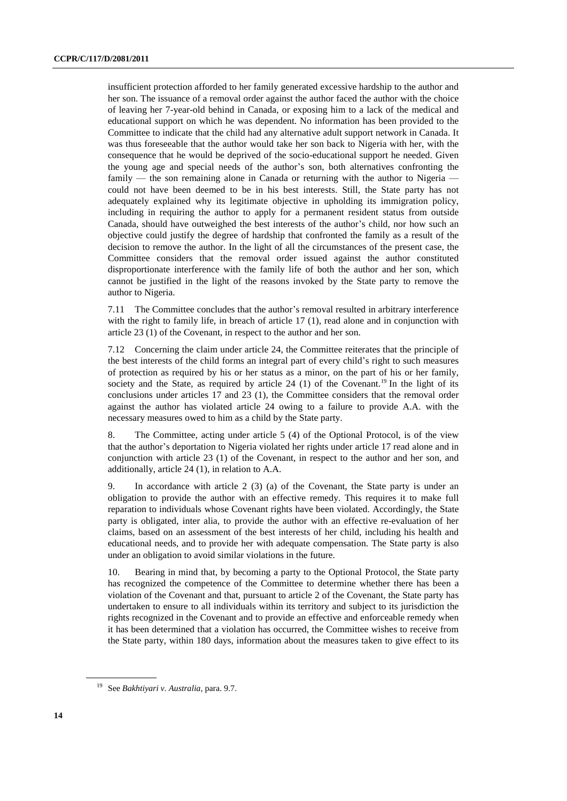insufficient protection afforded to her family generated excessive hardship to the author and her son. The issuance of a removal order against the author faced the author with the choice of leaving her 7-year-old behind in Canada, or exposing him to a lack of the medical and educational support on which he was dependent. No information has been provided to the Committee to indicate that the child had any alternative adult support network in Canada. It was thus foreseeable that the author would take her son back to Nigeria with her, with the consequence that he would be deprived of the socio-educational support he needed. Given the young age and special needs of the author's son, both alternatives confronting the family — the son remaining alone in Canada or returning with the author to Nigeria could not have been deemed to be in his best interests. Still, the State party has not adequately explained why its legitimate objective in upholding its immigration policy, including in requiring the author to apply for a permanent resident status from outside Canada, should have outweighed the best interests of the author's child, nor how such an objective could justify the degree of hardship that confronted the family as a result of the decision to remove the author. In the light of all the circumstances of the present case, the Committee considers that the removal order issued against the author constituted disproportionate interference with the family life of both the author and her son, which cannot be justified in the light of the reasons invoked by the State party to remove the author to Nigeria.

7.11 The Committee concludes that the author's removal resulted in arbitrary interference with the right to family life, in breach of article 17 (1), read alone and in conjunction with article 23 (1) of the Covenant, in respect to the author and her son.

7.12 Concerning the claim under article 24, the Committee reiterates that the principle of the best interests of the child forms an integral part of every child's right to such measures of protection as required by his or her status as a minor, on the part of his or her family, society and the State, as required by article 24 (1) of the Covenant.<sup>19</sup> In the light of its conclusions under articles 17 and 23 (1), the Committee considers that the removal order against the author has violated article 24 owing to a failure to provide A.A. with the necessary measures owed to him as a child by the State party.

8. The Committee, acting under article 5 (4) of the Optional Protocol, is of the view that the author's deportation to Nigeria violated her rights under article 17 read alone and in conjunction with article 23 (1) of the Covenant, in respect to the author and her son, and additionally, article 24 (1), in relation to A.A.

9. In accordance with article 2 (3) (a) of the Covenant, the State party is under an obligation to provide the author with an effective remedy. This requires it to make full reparation to individuals whose Covenant rights have been violated. Accordingly, the State party is obligated, inter alia, to provide the author with an effective re-evaluation of her claims, based on an assessment of the best interests of her child, including his health and educational needs, and to provide her with adequate compensation. The State party is also under an obligation to avoid similar violations in the future.

10. Bearing in mind that, by becoming a party to the Optional Protocol, the State party has recognized the competence of the Committee to determine whether there has been a violation of the Covenant and that, pursuant to article 2 of the Covenant, the State party has undertaken to ensure to all individuals within its territory and subject to its jurisdiction the rights recognized in the Covenant and to provide an effective and enforceable remedy when it has been determined that a violation has occurred, the Committee wishes to receive from the State party, within 180 days, information about the measures taken to give effect to its

<sup>19</sup> See *Bakhtiyari v. Australia*, para. 9.7.